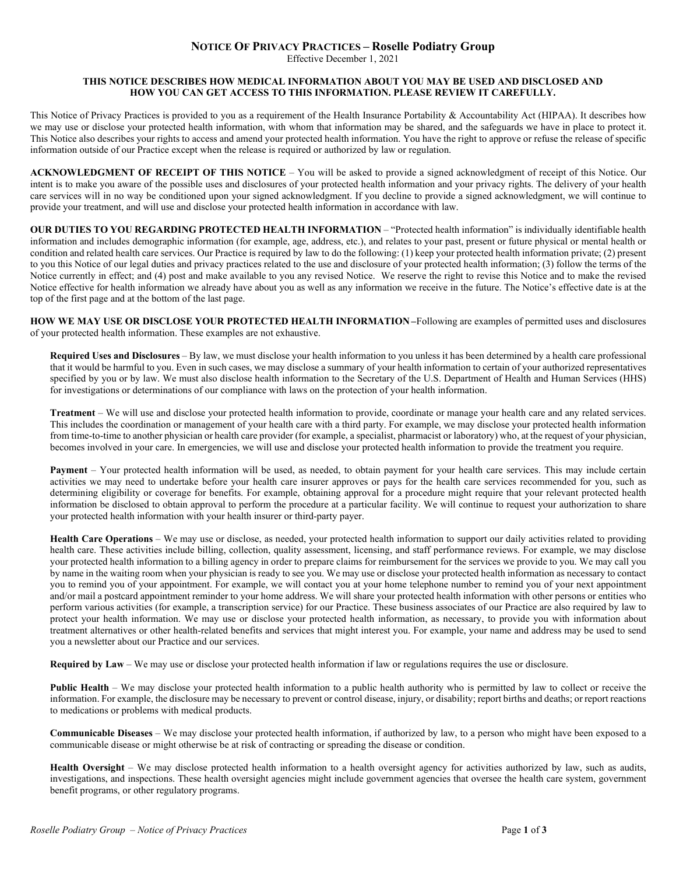## **NOTICE OF PRIVACY PRACTICES – Roselle Podiatry Group**

Effective December 1, 2021

## **THIS NOTICE DESCRIBES HOW MEDICAL INFORMATION ABOUT YOU MAY BE USED AND DISCLOSED AND HOW YOU CAN GET ACCESS TO THIS INFORMATION. PLEASE REVIEW IT CAREFULLY.**

This Notice of Privacy Practices is provided to you as a requirement of the Health Insurance Portability & Accountability Act (HIPAA). It describes how we may use or disclose your protected health information, with whom that information may be shared, and the safeguards we have in place to protect it. This Notice also describes your rights to access and amend your protected health information. You have the right to approve or refuse the release of specific information outside of our Practice except when the release is required or authorized by law or regulation.

**ACKNOWLEDGMENT OF RECEIPT OF THIS NOTICE** – You will be asked to provide a signed acknowledgment of receipt of this Notice. Our intent is to make you aware of the possible uses and disclosures of your protected health information and your privacy rights. The delivery of your health care services will in no way be conditioned upon your signed acknowledgment. If you decline to provide a signed acknowledgment, we will continue to provide your treatment, and will use and disclose your protected health information in accordance with law.

**OUR DUTIES TO YOU REGARDING PROTECTED HEALTH INFORMATION** – "Protected health information" is individually identifiable health information and includes demographic information (for example, age, address, etc.), and relates to your past, present or future physical or mental health or condition and related health care services. Our Practice is required by law to do the following: (1) keep your protected health information private; (2) present to you this Notice of our legal duties and privacy practices related to the use and disclosure of your protected health information; (3) follow the terms of the Notice currently in effect; and (4) post and make available to you any revised Notice. We reserve the right to revise this Notice and to make the revised Notice effective for health information we already have about you as well as any information we receive in the future. The Notice's effective date is at the top of the first page and at the bottom of the last page.

**HOW WE MAY USE OR DISCLOSE YOUR PROTECTED HEALTH INFORMATION –**Following are examples of permitted uses and disclosures of your protected health information. These examples are not exhaustive.

**Required Uses and Disclosures** – By law, we must disclose your health information to you unless it has been determined by a health care professional that it would be harmful to you. Even in such cases, we may disclose a summary of your health information to certain of your authorized representatives specified by you or by law. We must also disclose health information to the Secretary of the U.S. Department of Health and Human Services (HHS) for investigations or determinations of our compliance with laws on the protection of your health information.

**Treatment** – We will use and disclose your protected health information to provide, coordinate or manage your health care and any related services. This includes the coordination or management of your health care with a third party. For example, we may disclose your protected health information from time-to-time to another physician or health care provider (for example, a specialist, pharmacist or laboratory) who, at the request of your physician, becomes involved in your care. In emergencies, we will use and disclose your protected health information to provide the treatment you require.

**Payment** – Your protected health information will be used, as needed, to obtain payment for your health care services. This may include certain activities we may need to undertake before your health care insurer approves or pays for the health care services recommended for you, such as determining eligibility or coverage for benefits. For example, obtaining approval for a procedure might require that your relevant protected health information be disclosed to obtain approval to perform the procedure at a particular facility. We will continue to request your authorization to share your protected health information with your health insurer or third-party payer.

**Health Care Operations** – We may use or disclose, as needed, your protected health information to support our daily activities related to providing health care. These activities include billing, collection, quality assessment, licensing, and staff performance reviews. For example, we may disclose your protected health information to a billing agency in order to prepare claims for reimbursement for the services we provide to you. We may call you by name in the waiting room when your physician is ready to see you. We may use or disclose your protected health information as necessary to contact you to remind you of your appointment. For example, we will contact you at your home telephone number to remind you of your next appointment and/or mail a postcard appointment reminder to your home address. We will share your protected health information with other persons or entities who perform various activities (for example, a transcription service) for our Practice. These business associates of our Practice are also required by law to protect your health information. We may use or disclose your protected health information, as necessary, to provide you with information about treatment alternatives or other health-related benefits and services that might interest you. For example, your name and address may be used to send you a newsletter about our Practice and our services.

**Required by Law** – We may use or disclose your protected health information if law or regulations requires the use or disclosure.

**Public Health** – We may disclose your protected health information to a public health authority who is permitted by law to collect or receive the information. For example, the disclosure may be necessary to prevent or control disease, injury, or disability; report births and deaths; or report reactions to medications or problems with medical products.

**Communicable Diseases** – We may disclose your protected health information, if authorized by law, to a person who might have been exposed to a communicable disease or might otherwise be at risk of contracting or spreading the disease or condition.

**Health Oversight** – We may disclose protected health information to a health oversight agency for activities authorized by law, such as audits, investigations, and inspections. These health oversight agencies might include government agencies that oversee the health care system, government benefit programs, or other regulatory programs.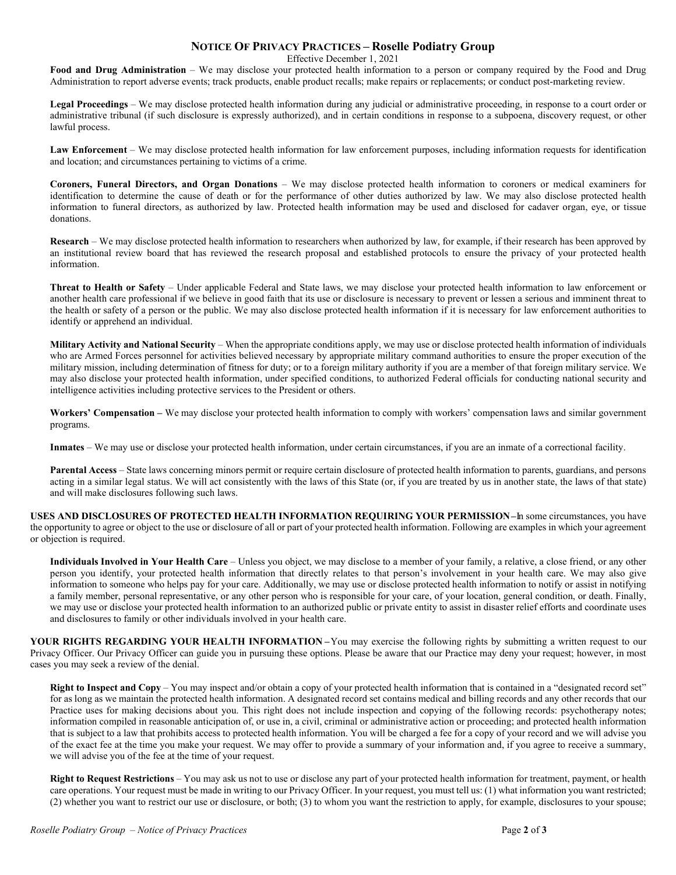## **NOTICE OF PRIVACY PRACTICES – Roselle Podiatry Group**

Effective December 1, 2021

**Food and Drug Administration** – We may disclose your protected health information to a person or company required by the Food and Drug Administration to report adverse events; track products, enable product recalls; make repairs or replacements; or conduct post-marketing review.

**Legal Proceedings** – We may disclose protected health information during any judicial or administrative proceeding, in response to a court order or administrative tribunal (if such disclosure is expressly authorized), and in certain conditions in response to a subpoena, discovery request, or other lawful process.

**Law Enforcement** – We may disclose protected health information for law enforcement purposes, including information requests for identification and location; and circumstances pertaining to victims of a crime.

**Coroners, Funeral Directors, and Organ Donations** – We may disclose protected health information to coroners or medical examiners for identification to determine the cause of death or for the performance of other duties authorized by law. We may also disclose protected health information to funeral directors, as authorized by law. Protected health information may be used and disclosed for cadaver organ, eye, or tissue donations.

**Research** – We may disclose protected health information to researchers when authorized by law, for example, if their research has been approved by an institutional review board that has reviewed the research proposal and established protocols to ensure the privacy of your protected health information.

**Threat to Health or Safety** – Under applicable Federal and State laws, we may disclose your protected health information to law enforcement or another health care professional if we believe in good faith that its use or disclosure is necessary to prevent or lessen a serious and imminent threat to the health or safety of a person or the public. We may also disclose protected health information if it is necessary for law enforcement authorities to identify or apprehend an individual.

**Military Activity and National Security** – When the appropriate conditions apply, we may use or disclose protected health information of individuals who are Armed Forces personnel for activities believed necessary by appropriate military command authorities to ensure the proper execution of the military mission, including determination of fitness for duty; or to a foreign military authority if you are a member of that foreign military service. We may also disclose your protected health information, under specified conditions, to authorized Federal officials for conducting national security and intelligence activities including protective services to the President or others.

**Workers' Compensation –** We may disclose your protected health information to comply with workers' compensation laws and similar government programs.

**Inmates** – We may use or disclose your protected health information, under certain circumstances, if you are an inmate of a correctional facility.

**Parental Access** – State laws concerning minors permit or require certain disclosure of protected health information to parents, guardians, and persons acting in a similar legal status. We will act consistently with the laws of this State (or, if you are treated by us in another state, the laws of that state) and will make disclosures following such laws.

**USES AND DISCLOSURES OF PROTECTED HEALTH INFORMATION REQUIRING YOUR PERMISSION–**In some circumstances, you have the opportunity to agree or object to the use or disclosure of all or part of your protected health information. Following are examples in which your agreement or objection is required.

**Individuals Involved in Your Health Care** – Unless you object, we may disclose to a member of your family, a relative, a close friend, or any other person you identify, your protected health information that directly relates to that person's involvement in your health care. We may also give information to someone who helps pay for your care. Additionally, we may use or disclose protected health information to notify or assist in notifying a family member, personal representative, or any other person who is responsible for your care, of your location, general condition, or death. Finally, we may use or disclose your protected health information to an authorized public or private entity to assist in disaster relief efforts and coordinate uses and disclosures to family or other individuals involved in your health care.

**YOUR RIGHTS REGARDING YOUR HEALTH INFORMATION –**You may exercise the following rights by submitting a written request to our Privacy Officer. Our Privacy Officer can guide you in pursuing these options. Please be aware that our Practice may deny your request; however, in most cases you may seek a review of the denial.

**Right to Inspect and Copy** – You may inspect and/or obtain a copy of your protected health information that is contained in a "designated record set" for as long as we maintain the protected health information. A designated record set contains medical and billing records and any other records that our Practice uses for making decisions about you. This right does not include inspection and copying of the following records: psychotherapy notes; information compiled in reasonable anticipation of, or use in, a civil, criminal or administrative action or proceeding; and protected health information that is subject to a law that prohibits access to protected health information. You will be charged a fee for a copy of your record and we will advise you of the exact fee at the time you make your request. We may offer to provide a summary of your information and, if you agree to receive a summary, we will advise you of the fee at the time of your request.

**Right to Request Restrictions** – You may ask us not to use or disclose any part of your protected health information for treatment, payment, or health care operations. Your request must be made in writing to our Privacy Officer. In your request, you must tell us: (1) what information you want restricted; (2) whether you want to restrict our use or disclosure, or both; (3) to whom you want the restriction to apply, for example, disclosures to your spouse;